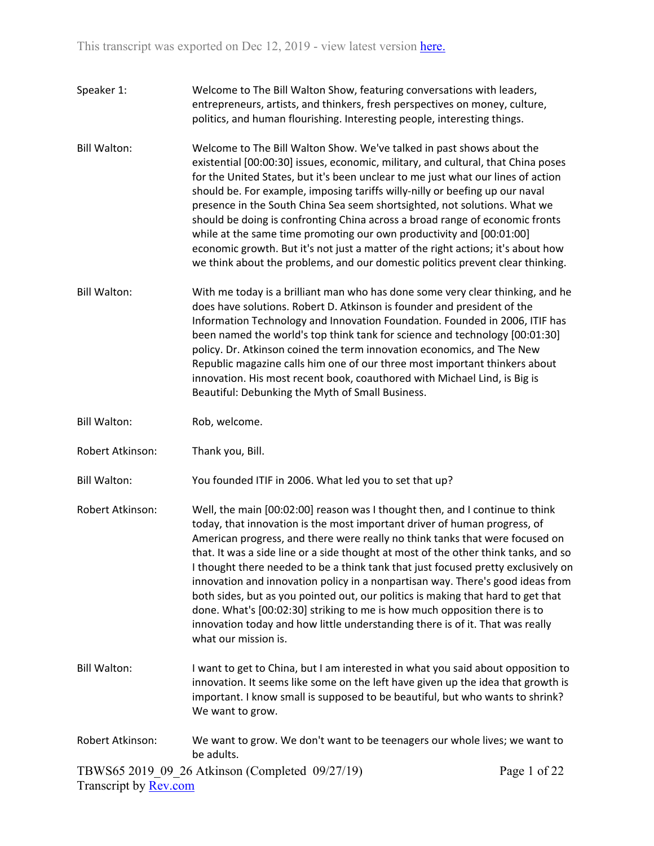| Speaker 1:          | Welcome to The Bill Walton Show, featuring conversations with leaders,<br>entrepreneurs, artists, and thinkers, fresh perspectives on money, culture,<br>politics, and human flourishing. Interesting people, interesting things.                                                                                                                                                                                                                                                                                                                                                                                                                                                                                                                                                 |
|---------------------|-----------------------------------------------------------------------------------------------------------------------------------------------------------------------------------------------------------------------------------------------------------------------------------------------------------------------------------------------------------------------------------------------------------------------------------------------------------------------------------------------------------------------------------------------------------------------------------------------------------------------------------------------------------------------------------------------------------------------------------------------------------------------------------|
| <b>Bill Walton:</b> | Welcome to The Bill Walton Show. We've talked in past shows about the<br>existential [00:00:30] issues, economic, military, and cultural, that China poses<br>for the United States, but it's been unclear to me just what our lines of action<br>should be. For example, imposing tariffs willy-nilly or beefing up our naval<br>presence in the South China Sea seem shortsighted, not solutions. What we<br>should be doing is confronting China across a broad range of economic fronts<br>while at the same time promoting our own productivity and [00:01:00]<br>economic growth. But it's not just a matter of the right actions; it's about how<br>we think about the problems, and our domestic politics prevent clear thinking.                                         |
| <b>Bill Walton:</b> | With me today is a brilliant man who has done some very clear thinking, and he<br>does have solutions. Robert D. Atkinson is founder and president of the<br>Information Technology and Innovation Foundation. Founded in 2006, ITIF has<br>been named the world's top think tank for science and technology [00:01:30]<br>policy. Dr. Atkinson coined the term innovation economics, and The New<br>Republic magazine calls him one of our three most important thinkers about<br>innovation. His most recent book, coauthored with Michael Lind, is Big is<br>Beautiful: Debunking the Myth of Small Business.                                                                                                                                                                  |
| <b>Bill Walton:</b> | Rob, welcome.                                                                                                                                                                                                                                                                                                                                                                                                                                                                                                                                                                                                                                                                                                                                                                     |
| Robert Atkinson:    | Thank you, Bill.                                                                                                                                                                                                                                                                                                                                                                                                                                                                                                                                                                                                                                                                                                                                                                  |
| <b>Bill Walton:</b> | You founded ITIF in 2006. What led you to set that up?                                                                                                                                                                                                                                                                                                                                                                                                                                                                                                                                                                                                                                                                                                                            |
| Robert Atkinson:    | Well, the main [00:02:00] reason was I thought then, and I continue to think<br>today, that innovation is the most important driver of human progress, of<br>American progress, and there were really no think tanks that were focused on<br>that. It was a side line or a side thought at most of the other think tanks, and so<br>I thought there needed to be a think tank that just focused pretty exclusively on<br>innovation and innovation policy in a nonpartisan way. There's good ideas from<br>both sides, but as you pointed out, our politics is making that hard to get that<br>done. What's [00:02:30] striking to me is how much opposition there is to<br>innovation today and how little understanding there is of it. That was really<br>what our mission is. |
| <b>Bill Walton:</b> | I want to get to China, but I am interested in what you said about opposition to<br>innovation. It seems like some on the left have given up the idea that growth is<br>important. I know small is supposed to be beautiful, but who wants to shrink?<br>We want to grow.                                                                                                                                                                                                                                                                                                                                                                                                                                                                                                         |
| Robert Atkinson:    | We want to grow. We don't want to be teenagers our whole lives; we want to<br>be adults.                                                                                                                                                                                                                                                                                                                                                                                                                                                                                                                                                                                                                                                                                          |

TBWS65 2019\_09\_26 Atkinson (Completed 09/27/19) Transcript by **Rev.com**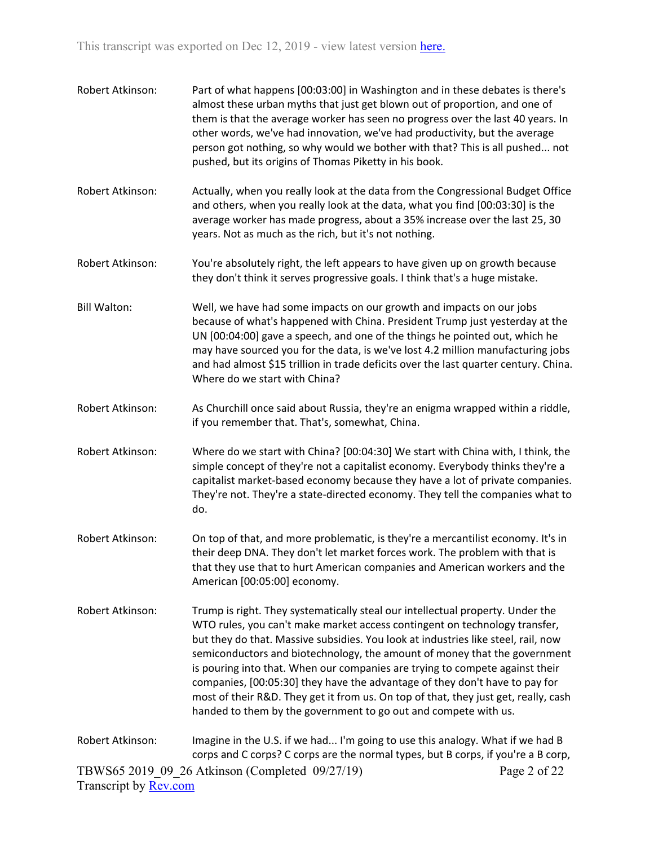- Robert Atkinson: Part of what happens [00:03:00] in Washington and in these debates is there's almost these urban myths that just get blown out of proportion, and one of them is that the average worker has seen no progress over the last 40 years. In other words, we've had innovation, we've had productivity, but the average person got nothing, so why would we bother with that? This is all pushed... not pushed, but its origins of Thomas Piketty in his book.
- Robert Atkinson: Actually, when you really look at the data from the Congressional Budget Office and others, when you really look at the data, what you find [00:03:30] is the average worker has made progress, about a 35% increase over the last 25, 30 years. Not as much as the rich, but it's not nothing.
- Robert Atkinson: You're absolutely right, the left appears to have given up on growth because they don't think it serves progressive goals. I think that's a huge mistake.
- Bill Walton: Well, we have had some impacts on our growth and impacts on our jobs because of what's happened with China. President Trump just yesterday at the UN [00:04:00] gave a speech, and one of the things he pointed out, which he may have sourced you for the data, is we've lost 4.2 million manufacturing jobs and had almost \$15 trillion in trade deficits over the last quarter century. China. Where do we start with China?
- Robert Atkinson: As Churchill once said about Russia, they're an enigma wrapped within a riddle, if you remember that. That's, somewhat, China.
- Robert Atkinson: Where do we start with China? [00:04:30] We start with China with, I think, the simple concept of they're not a capitalist economy. Everybody thinks they're a capitalist market-based economy because they have a lot of private companies. They're not. They're a state-directed economy. They tell the companies what to do.
- Robert Atkinson: On top of that, and more problematic, is they're a mercantilist economy. It's in their deep DNA. They don't let market forces work. The problem with that is that they use that to hurt American companies and American workers and the American [00:05:00] economy.
- Robert Atkinson: Trump is right. They systematically steal our intellectual property. Under the WTO rules, you can't make market access contingent on technology transfer, but they do that. Massive subsidies. You look at industries like steel, rail, now semiconductors and biotechnology, the amount of money that the government is pouring into that. When our companies are trying to compete against their companies, [00:05:30] they have the advantage of they don't have to pay for most of their R&D. They get it from us. On top of that, they just get, really, cash handed to them by the government to go out and compete with us.
- TBWS65 2019\_09\_26 Atkinson (Completed 09/27/19) Transcript by [Rev.com](https://www.rev.com/) Page 2 of 22 Robert Atkinson: Imagine in the U.S. if we had... I'm going to use this analogy. What if we had B corps and C corps? C corps are the normal types, but B corps, if you're a B corp,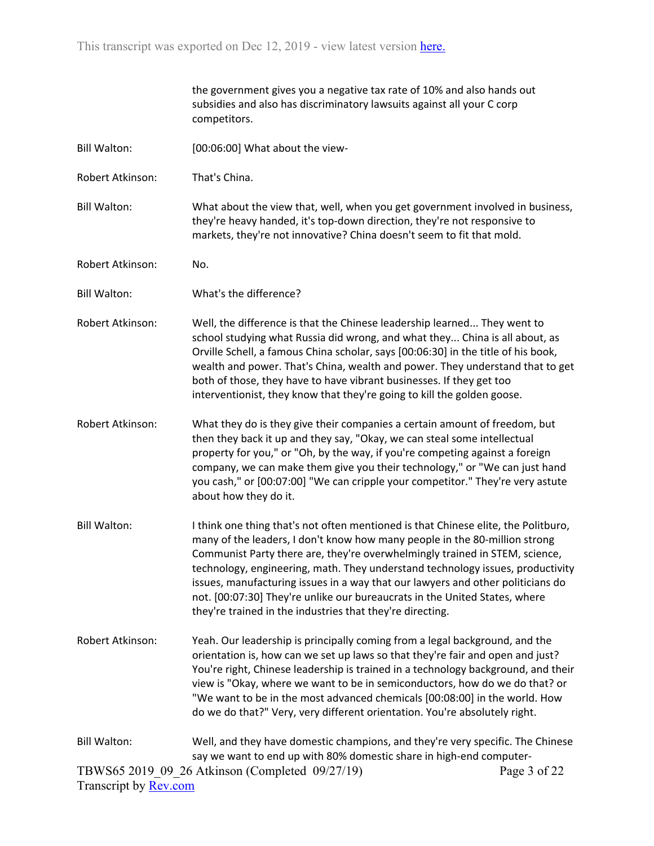|                                              | the government gives you a negative tax rate of 10% and also hands out<br>subsidies and also has discriminatory lawsuits against all your C corp<br>competitors.                                                                                                                                                                                                                                                                                                                                                                                               |              |
|----------------------------------------------|----------------------------------------------------------------------------------------------------------------------------------------------------------------------------------------------------------------------------------------------------------------------------------------------------------------------------------------------------------------------------------------------------------------------------------------------------------------------------------------------------------------------------------------------------------------|--------------|
| <b>Bill Walton:</b>                          | [00:06:00] What about the view-                                                                                                                                                                                                                                                                                                                                                                                                                                                                                                                                |              |
| Robert Atkinson:                             | That's China.                                                                                                                                                                                                                                                                                                                                                                                                                                                                                                                                                  |              |
| <b>Bill Walton:</b>                          | What about the view that, well, when you get government involved in business,<br>they're heavy handed, it's top-down direction, they're not responsive to<br>markets, they're not innovative? China doesn't seem to fit that mold.                                                                                                                                                                                                                                                                                                                             |              |
| Robert Atkinson:                             | No.                                                                                                                                                                                                                                                                                                                                                                                                                                                                                                                                                            |              |
| <b>Bill Walton:</b>                          | What's the difference?                                                                                                                                                                                                                                                                                                                                                                                                                                                                                                                                         |              |
| Robert Atkinson:                             | Well, the difference is that the Chinese leadership learned They went to<br>school studying what Russia did wrong, and what they China is all about, as<br>Orville Schell, a famous China scholar, says [00:06:30] in the title of his book,<br>wealth and power. That's China, wealth and power. They understand that to get<br>both of those, they have to have vibrant businesses. If they get too<br>interventionist, they know that they're going to kill the golden goose.                                                                               |              |
| Robert Atkinson:                             | What they do is they give their companies a certain amount of freedom, but<br>then they back it up and they say, "Okay, we can steal some intellectual<br>property for you," or "Oh, by the way, if you're competing against a foreign<br>company, we can make them give you their technology," or "We can just hand<br>you cash," or [00:07:00] "We can cripple your competitor." They're very astute<br>about how they do it.                                                                                                                                |              |
| <b>Bill Walton:</b>                          | I think one thing that's not often mentioned is that Chinese elite, the Politburo,<br>many of the leaders, I don't know how many people in the 80-million strong<br>Communist Party there are, they're overwhelmingly trained in STEM, science<br>technology, engineering, math. They understand technology issues, productivity<br>issues, manufacturing issues in a way that our lawyers and other politicians do<br>not. [00:07:30] They're unlike our bureaucrats in the United States, where<br>they're trained in the industries that they're directing. |              |
| Robert Atkinson:                             | Yeah. Our leadership is principally coming from a legal background, and the<br>orientation is, how can we set up laws so that they're fair and open and just?<br>You're right, Chinese leadership is trained in a technology background, and their<br>view is "Okay, where we want to be in semiconductors, how do we do that? or<br>"We want to be in the most advanced chemicals [00:08:00] in the world. How<br>do we do that?" Very, very different orientation. You're absolutely right.                                                                  |              |
| <b>Bill Walton:</b><br>Transcript by Rev.com | Well, and they have domestic champions, and they're very specific. The Chinese<br>say we want to end up with 80% domestic share in high-end computer-<br>TBWS65 2019 09 26 Atkinson (Completed 09/27/19)                                                                                                                                                                                                                                                                                                                                                       | Page 3 of 22 |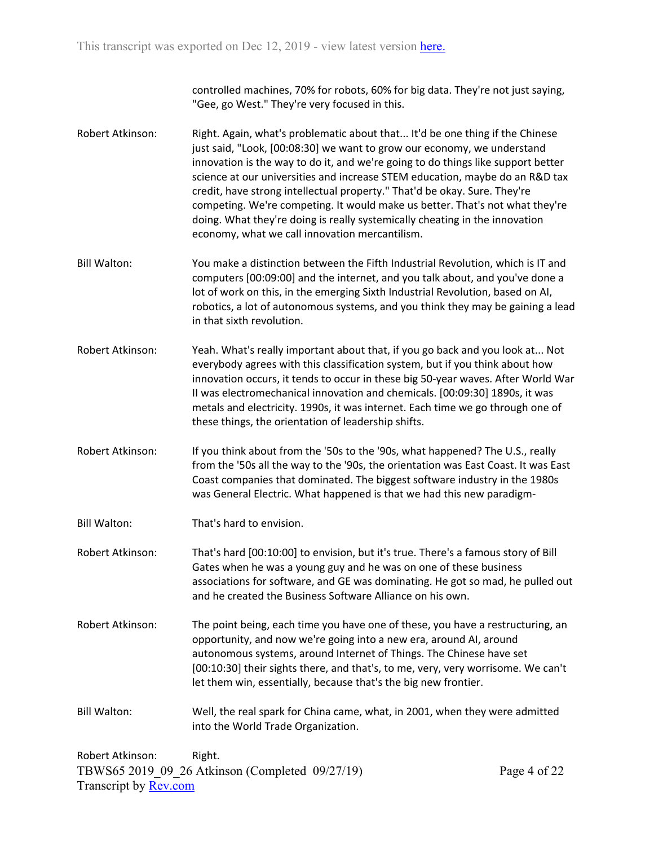controlled machines, 70% for robots, 60% for big data. They're not just saying, "Gee, go West." They're very focused in this.

- Robert Atkinson: Right. Again, what's problematic about that... It'd be one thing if the Chinese just said, "Look, [00:08:30] we want to grow our economy, we understand innovation is the way to do it, and we're going to do things like support better science at our universities and increase STEM education, maybe do an R&D tax credit, have strong intellectual property." That'd be okay. Sure. They're competing. We're competing. It would make us better. That's not what they're doing. What they're doing is really systemically cheating in the innovation economy, what we call innovation mercantilism.
- Bill Walton: You make a distinction between the Fifth Industrial Revolution, which is IT and computers [00:09:00] and the internet, and you talk about, and you've done a lot of work on this, in the emerging Sixth Industrial Revolution, based on AI, robotics, a lot of autonomous systems, and you think they may be gaining a lead in that sixth revolution.
- Robert Atkinson: Yeah. What's really important about that, if you go back and you look at... Not everybody agrees with this classification system, but if you think about how innovation occurs, it tends to occur in these big 50-year waves. After World War II was electromechanical innovation and chemicals. [00:09:30] 1890s, it was metals and electricity. 1990s, it was internet. Each time we go through one of these things, the orientation of leadership shifts.
- Robert Atkinson: If you think about from the '50s to the '90s, what happened? The U.S., really from the '50s all the way to the '90s, the orientation was East Coast. It was East Coast companies that dominated. The biggest software industry in the 1980s was General Electric. What happened is that we had this new paradigm-
- Bill Walton: That's hard to envision.

Robert Atkinson: That's hard [00:10:00] to envision, but it's true. There's a famous story of Bill Gates when he was a young guy and he was on one of these business associations for software, and GE was dominating. He got so mad, he pulled out and he created the Business Software Alliance on his own.

- Robert Atkinson: The point being, each time you have one of these, you have a restructuring, an opportunity, and now we're going into a new era, around AI, around autonomous systems, around Internet of Things. The Chinese have set [00:10:30] their sights there, and that's, to me, very, very worrisome. We can't let them win, essentially, because that's the big new frontier.
- Bill Walton: Well, the real spark for China came, what, in 2001, when they were admitted into the World Trade Organization.

TBWS65 2019\_09\_26 Atkinson (Completed 09/27/19) Transcript by [Rev.com](https://www.rev.com/) Robert Atkinson: Right.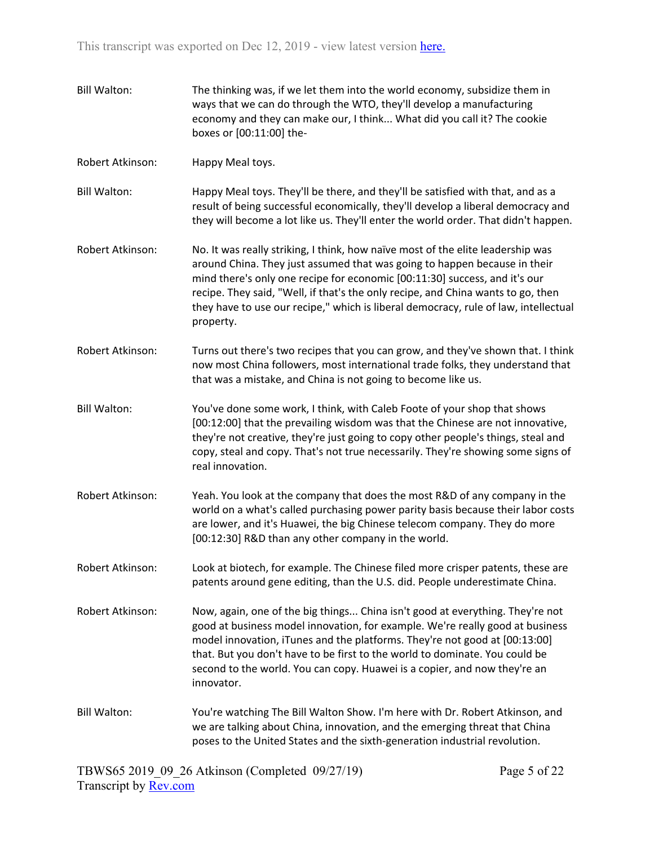Bill Walton: The thinking was, if we let them into the world economy, subsidize them in ways that we can do through the WTO, they'll develop a manufacturing economy and they can make our, I think... What did you call it? The cookie boxes or [00:11:00] the-Robert Atkinson: Happy Meal toys. Bill Walton: Happy Meal toys. They'll be there, and they'll be satisfied with that, and as a result of being successful economically, they'll develop a liberal democracy and they will become a lot like us. They'll enter the world order. That didn't happen. Robert Atkinson: No. It was really striking, I think, how naïve most of the elite leadership was around China. They just assumed that was going to happen because in their mind there's only one recipe for economic [00:11:30] success, and it's our recipe. They said, "Well, if that's the only recipe, and China wants to go, then they have to use our recipe," which is liberal democracy, rule of law, intellectual property. Robert Atkinson: Turns out there's two recipes that you can grow, and they've shown that. I think now most China followers, most international trade folks, they understand that that was a mistake, and China is not going to become like us. Bill Walton: You've done some work, I think, with Caleb Foote of your shop that shows [00:12:00] that the prevailing wisdom was that the Chinese are not innovative, they're not creative, they're just going to copy other people's things, steal and copy, steal and copy. That's not true necessarily. They're showing some signs of real innovation. Robert Atkinson: Yeah. You look at the company that does the most R&D of any company in the world on a what's called purchasing power parity basis because their labor costs are lower, and it's Huawei, the big Chinese telecom company. They do more [00:12:30] R&D than any other company in the world. Robert Atkinson: Look at biotech, for example. The Chinese filed more crisper patents, these are patents around gene editing, than the U.S. did. People underestimate China. Robert Atkinson: Now, again, one of the big things... China isn't good at everything. They're not good at business model innovation, for example. We're really good at business model innovation, iTunes and the platforms. They're not good at [00:13:00] that. But you don't have to be first to the world to dominate. You could be second to the world. You can copy. Huawei is a copier, and now they're an innovator. Bill Walton: You're watching The Bill Walton Show. I'm here with Dr. Robert Atkinson, and we are talking about China, innovation, and the emerging threat that China poses to the United States and the sixth-generation industrial revolution.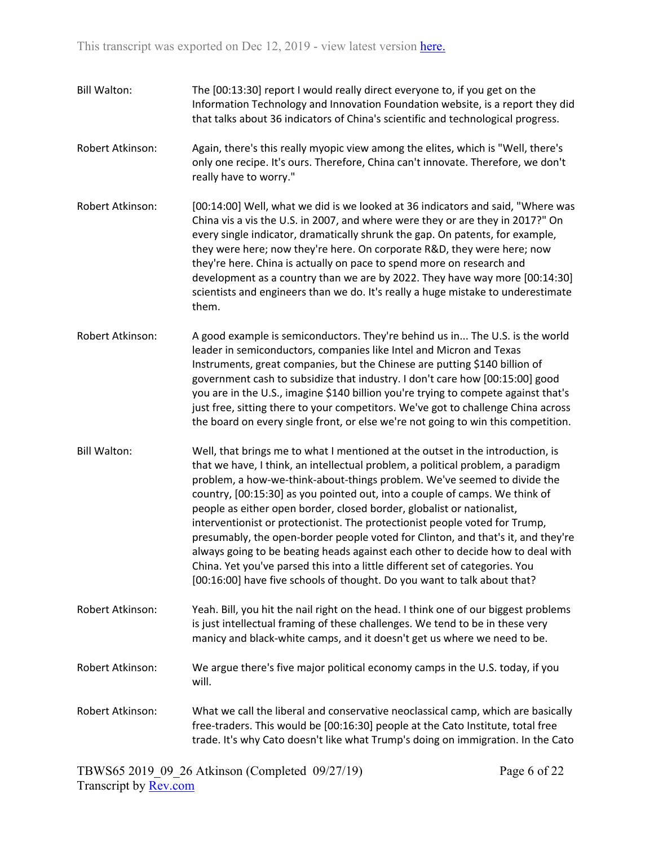| <b>Bill Walton:</b> | The [00:13:30] report I would really direct everyone to, if you get on the<br>Information Technology and Innovation Foundation website, is a report they did<br>that talks about 36 indicators of China's scientific and technological progress.                                                                                                                                                                                                                                                                                                                                                                                                                                                                                                                                                                        |
|---------------------|-------------------------------------------------------------------------------------------------------------------------------------------------------------------------------------------------------------------------------------------------------------------------------------------------------------------------------------------------------------------------------------------------------------------------------------------------------------------------------------------------------------------------------------------------------------------------------------------------------------------------------------------------------------------------------------------------------------------------------------------------------------------------------------------------------------------------|
| Robert Atkinson:    | Again, there's this really myopic view among the elites, which is "Well, there's<br>only one recipe. It's ours. Therefore, China can't innovate. Therefore, we don't<br>really have to worry."                                                                                                                                                                                                                                                                                                                                                                                                                                                                                                                                                                                                                          |
| Robert Atkinson:    | [00:14:00] Well, what we did is we looked at 36 indicators and said, "Where was<br>China vis a vis the U.S. in 2007, and where were they or are they in 2017?" On<br>every single indicator, dramatically shrunk the gap. On patents, for example,<br>they were here; now they're here. On corporate R&D, they were here; now<br>they're here. China is actually on pace to spend more on research and<br>development as a country than we are by 2022. They have way more [00:14:30]<br>scientists and engineers than we do. It's really a huge mistake to underestimate<br>them.                                                                                                                                                                                                                                      |
| Robert Atkinson:    | A good example is semiconductors. They're behind us in The U.S. is the world<br>leader in semiconductors, companies like Intel and Micron and Texas<br>Instruments, great companies, but the Chinese are putting \$140 billion of<br>government cash to subsidize that industry. I don't care how [00:15:00] good<br>you are in the U.S., imagine \$140 billion you're trying to compete against that's<br>just free, sitting there to your competitors. We've got to challenge China across<br>the board on every single front, or else we're not going to win this competition.                                                                                                                                                                                                                                       |
| <b>Bill Walton:</b> | Well, that brings me to what I mentioned at the outset in the introduction, is<br>that we have, I think, an intellectual problem, a political problem, a paradigm<br>problem, a how-we-think-about-things problem. We've seemed to divide the<br>country, [00:15:30] as you pointed out, into a couple of camps. We think of<br>people as either open border, closed border, globalist or nationalist,<br>interventionist or protectionist. The protectionist people voted for Trump,<br>presumably, the open-border people voted for Clinton, and that's it, and they're<br>always going to be beating heads against each other to decide how to deal with<br>China. Yet you've parsed this into a little different set of categories. You<br>[00:16:00] have five schools of thought. Do you want to talk about that? |
| Robert Atkinson:    | Yeah. Bill, you hit the nail right on the head. I think one of our biggest problems<br>is just intellectual framing of these challenges. We tend to be in these very<br>manicy and black-white camps, and it doesn't get us where we need to be.                                                                                                                                                                                                                                                                                                                                                                                                                                                                                                                                                                        |
| Robert Atkinson:    | We argue there's five major political economy camps in the U.S. today, if you<br>will.                                                                                                                                                                                                                                                                                                                                                                                                                                                                                                                                                                                                                                                                                                                                  |
| Robert Atkinson:    | What we call the liberal and conservative neoclassical camp, which are basically<br>free-traders. This would be [00:16:30] people at the Cato Institute, total free<br>trade. It's why Cato doesn't like what Trump's doing on immigration. In the Cato                                                                                                                                                                                                                                                                                                                                                                                                                                                                                                                                                                 |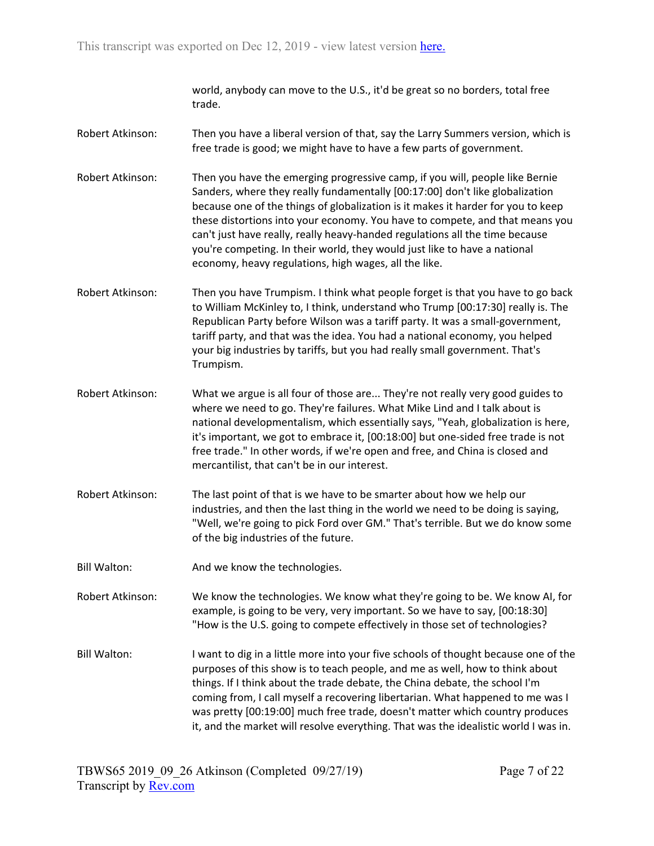world, anybody can move to the U.S., it'd be great so no borders, total free trade.

- Robert Atkinson: Then you have a liberal version of that, say the Larry Summers version, which is free trade is good; we might have to have a few parts of government.
- Robert Atkinson: Then you have the emerging progressive camp, if you will, people like Bernie Sanders, where they really fundamentally [00:17:00] don't like globalization because one of the things of globalization is it makes it harder for you to keep these distortions into your economy. You have to compete, and that means you can't just have really, really heavy-handed regulations all the time because you're competing. In their world, they would just like to have a national economy, heavy regulations, high wages, all the like.
- Robert Atkinson: Then you have Trumpism. I think what people forget is that you have to go back to William McKinley to, I think, understand who Trump [00:17:30] really is. The Republican Party before Wilson was a tariff party. It was a small-government, tariff party, and that was the idea. You had a national economy, you helped your big industries by tariffs, but you had really small government. That's Trumpism.
- Robert Atkinson: What we argue is all four of those are... They're not really very good guides to where we need to go. They're failures. What Mike Lind and I talk about is national developmentalism, which essentially says, "Yeah, globalization is here, it's important, we got to embrace it, [00:18:00] but one-sided free trade is not free trade." In other words, if we're open and free, and China is closed and mercantilist, that can't be in our interest.
- Robert Atkinson: The last point of that is we have to be smarter about how we help our industries, and then the last thing in the world we need to be doing is saying, "Well, we're going to pick Ford over GM." That's terrible. But we do know some of the big industries of the future.
- Bill Walton: And we know the technologies.

Robert Atkinson: We know the technologies. We know what they're going to be. We know AI, for example, is going to be very, very important. So we have to say, [00:18:30] "How is the U.S. going to compete effectively in those set of technologies?

Bill Walton: I want to dig in a little more into your five schools of thought because one of the purposes of this show is to teach people, and me as well, how to think about things. If I think about the trade debate, the China debate, the school I'm coming from, I call myself a recovering libertarian. What happened to me was I was pretty [00:19:00] much free trade, doesn't matter which country produces it, and the market will resolve everything. That was the idealistic world I was in.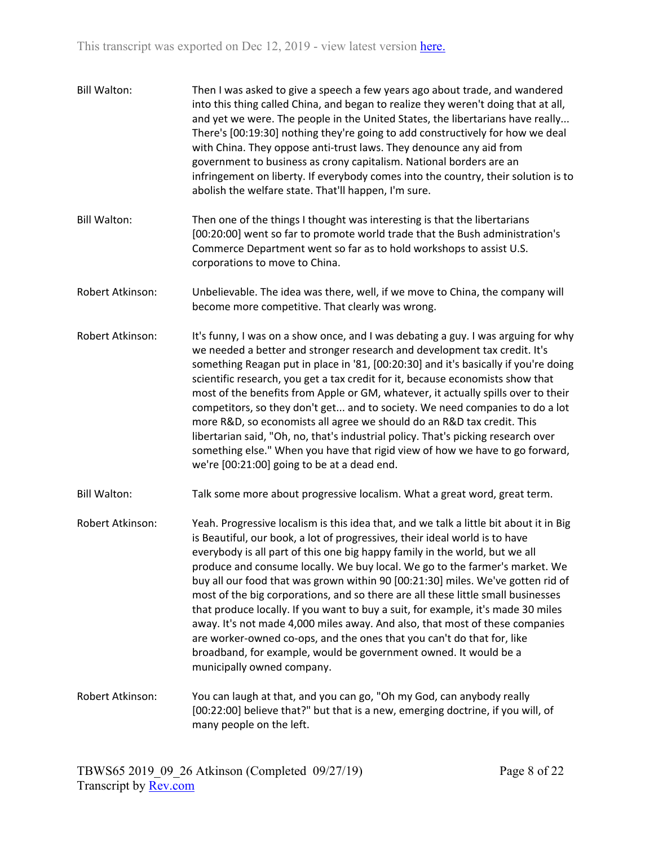| <b>Bill Walton:</b> | Then I was asked to give a speech a few years ago about trade, and wandered<br>into this thing called China, and began to realize they weren't doing that at all,<br>and yet we were. The people in the United States, the libertarians have really<br>There's [00:19:30] nothing they're going to add constructively for how we deal<br>with China. They oppose anti-trust laws. They denounce any aid from<br>government to business as crony capitalism. National borders are an<br>infringement on liberty. If everybody comes into the country, their solution is to<br>abolish the welfare state. That'll happen, I'm sure.                                                                                                                                                                                                                          |
|---------------------|------------------------------------------------------------------------------------------------------------------------------------------------------------------------------------------------------------------------------------------------------------------------------------------------------------------------------------------------------------------------------------------------------------------------------------------------------------------------------------------------------------------------------------------------------------------------------------------------------------------------------------------------------------------------------------------------------------------------------------------------------------------------------------------------------------------------------------------------------------|
| <b>Bill Walton:</b> | Then one of the things I thought was interesting is that the libertarians<br>[00:20:00] went so far to promote world trade that the Bush administration's<br>Commerce Department went so far as to hold workshops to assist U.S.<br>corporations to move to China.                                                                                                                                                                                                                                                                                                                                                                                                                                                                                                                                                                                         |
| Robert Atkinson:    | Unbelievable. The idea was there, well, if we move to China, the company will<br>become more competitive. That clearly was wrong.                                                                                                                                                                                                                                                                                                                                                                                                                                                                                                                                                                                                                                                                                                                          |
| Robert Atkinson:    | It's funny, I was on a show once, and I was debating a guy. I was arguing for why<br>we needed a better and stronger research and development tax credit. It's<br>something Reagan put in place in '81, [00:20:30] and it's basically if you're doing<br>scientific research, you get a tax credit for it, because economists show that<br>most of the benefits from Apple or GM, whatever, it actually spills over to their<br>competitors, so they don't get and to society. We need companies to do a lot<br>more R&D, so economists all agree we should do an R&D tax credit. This<br>libertarian said, "Oh, no, that's industrial policy. That's picking research over<br>something else." When you have that rigid view of how we have to go forward,<br>we're [00:21:00] going to be at a dead end.                                                 |
| <b>Bill Walton:</b> | Talk some more about progressive localism. What a great word, great term.                                                                                                                                                                                                                                                                                                                                                                                                                                                                                                                                                                                                                                                                                                                                                                                  |
| Robert Atkinson:    | Yeah. Progressive localism is this idea that, and we talk a little bit about it in Big<br>is Beautiful, our book, a lot of progressives, their ideal world is to have<br>everybody is all part of this one big happy family in the world, but we all<br>produce and consume locally. We buy local. We go to the farmer's market. We<br>buy all our food that was grown within 90 [00:21:30] miles. We've gotten rid of<br>most of the big corporations, and so there are all these little small businesses<br>that produce locally. If you want to buy a suit, for example, it's made 30 miles<br>away. It's not made 4,000 miles away. And also, that most of these companies<br>are worker-owned co-ops, and the ones that you can't do that for, like<br>broadband, for example, would be government owned. It would be a<br>municipally owned company. |
| Robert Atkinson:    | You can laugh at that, and you can go, "Oh my God, can anybody really<br>[00:22:00] believe that?" but that is a new, emerging doctrine, if you will, of<br>many people on the left.                                                                                                                                                                                                                                                                                                                                                                                                                                                                                                                                                                                                                                                                       |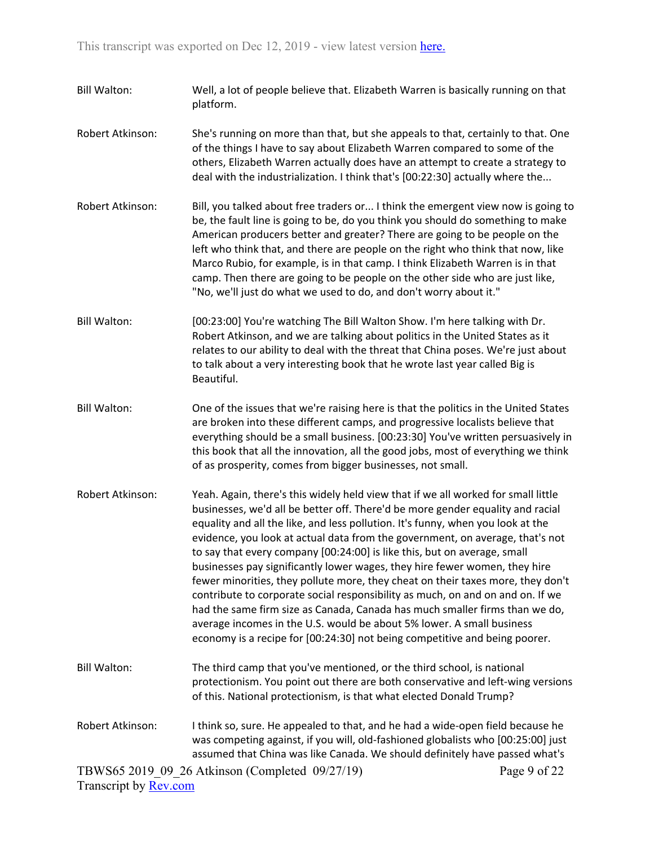- Bill Walton: Well, a lot of people believe that. Elizabeth Warren is basically running on that platform.
- Robert Atkinson: She's running on more than that, but she appeals to that, certainly to that. One of the things I have to say about Elizabeth Warren compared to some of the others, Elizabeth Warren actually does have an attempt to create a strategy to deal with the industrialization. I think that's [00:22:30] actually where the...
- Robert Atkinson: Bill, you talked about free traders or... I think the emergent view now is going to be, the fault line is going to be, do you think you should do something to make American producers better and greater? There are going to be people on the left who think that, and there are people on the right who think that now, like Marco Rubio, for example, is in that camp. I think Elizabeth Warren is in that camp. Then there are going to be people on the other side who are just like, "No, we'll just do what we used to do, and don't worry about it."
- Bill Walton: [00:23:00] You're watching The Bill Walton Show. I'm here talking with Dr. Robert Atkinson, and we are talking about politics in the United States as it relates to our ability to deal with the threat that China poses. We're just about to talk about a very interesting book that he wrote last year called Big is Beautiful.
- Bill Walton: One of the issues that we're raising here is that the politics in the United States are broken into these different camps, and progressive localists believe that everything should be a small business. [00:23:30] You've written persuasively in this book that all the innovation, all the good jobs, most of everything we think of as prosperity, comes from bigger businesses, not small.
- Robert Atkinson: Yeah. Again, there's this widely held view that if we all worked for small little businesses, we'd all be better off. There'd be more gender equality and racial equality and all the like, and less pollution. It's funny, when you look at the evidence, you look at actual data from the government, on average, that's not to say that every company [00:24:00] is like this, but on average, small businesses pay significantly lower wages, they hire fewer women, they hire fewer minorities, they pollute more, they cheat on their taxes more, they don't contribute to corporate social responsibility as much, on and on and on. If we had the same firm size as Canada, Canada has much smaller firms than we do, average incomes in the U.S. would be about 5% lower. A small business economy is a recipe for [00:24:30] not being competitive and being poorer.
- Bill Walton: The third camp that you've mentioned, or the third school, is national protectionism. You point out there are both conservative and left-wing versions of this. National protectionism, is that what elected Donald Trump?
- Robert Atkinson: I think so, sure. He appealed to that, and he had a wide-open field because he was competing against, if you will, old-fashioned globalists who [00:25:00] just assumed that China was like Canada. We should definitely have passed what's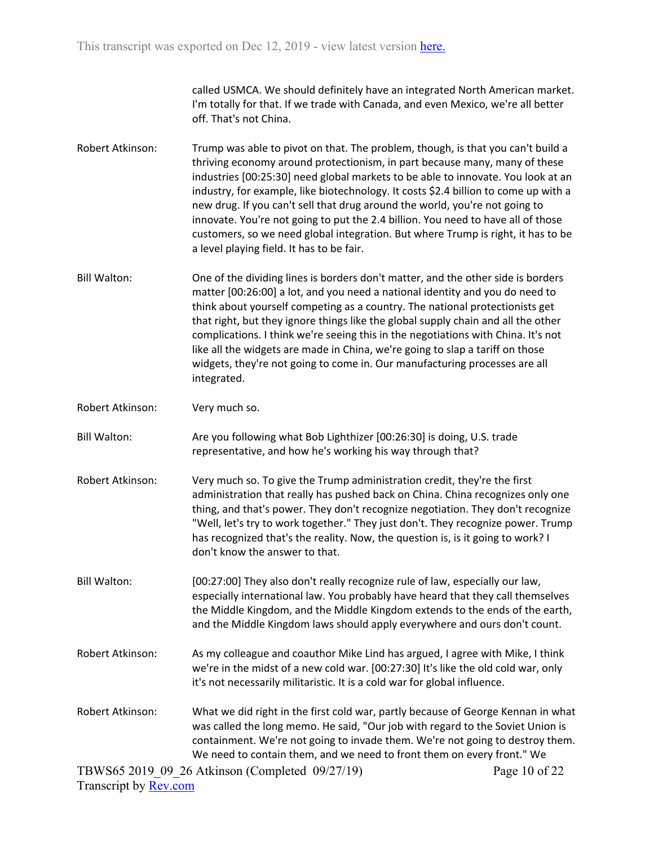called USMCA. We should definitely have an integrated North American market. I'm totally for that. If we trade with Canada, and even Mexico, we're all better off. That's not China.

- Robert Atkinson: Trump was able to pivot on that. The problem, though, is that you can't build a thriving economy around protectionism, in part because many, many of these industries [00:25:30] need global markets to be able to innovate. You look at an industry, for example, like biotechnology. It costs \$2.4 billion to come up with a new drug. If you can't sell that drug around the world, you're not going to innovate. You're not going to put the 2.4 billion. You need to have all of those customers, so we need global integration. But where Trump is right, it has to be a level playing field. It has to be fair.
- Bill Walton: One of the dividing lines is borders don't matter, and the other side is borders matter [00:26:00] a lot, and you need a national identity and you do need to think about yourself competing as a country. The national protectionists get that right, but they ignore things like the global supply chain and all the other complications. I think we're seeing this in the negotiations with China. It's not like all the widgets are made in China, we're going to slap a tariff on those widgets, they're not going to come in. Our manufacturing processes are all integrated.
- Robert Atkinson: Very much so.
- Bill Walton: Are you following what Bob Lighthizer [00:26:30] is doing, U.S. trade representative, and how he's working his way through that?
- Robert Atkinson: Very much so. To give the Trump administration credit, they're the first administration that really has pushed back on China. China recognizes only one thing, and that's power. They don't recognize negotiation. They don't recognize "Well, let's try to work together." They just don't. They recognize power. Trump has recognized that's the reality. Now, the question is, is it going to work? I don't know the answer to that.
- Bill Walton: [00:27:00] They also don't really recognize rule of law, especially our law, especially international law. You probably have heard that they call themselves the Middle Kingdom, and the Middle Kingdom extends to the ends of the earth, and the Middle Kingdom laws should apply everywhere and ours don't count.
- Robert Atkinson: As my colleague and coauthor Mike Lind has argued, I agree with Mike, I think we're in the midst of a new cold war. [00:27:30] It's like the old cold war, only it's not necessarily militaristic. It is a cold war for global influence.
- Robert Atkinson: What we did right in the first cold war, partly because of George Kennan in what was called the long memo. He said, "Our job with regard to the Soviet Union is containment. We're not going to invade them. We're not going to destroy them. We need to contain them, and we need to front them on every front." We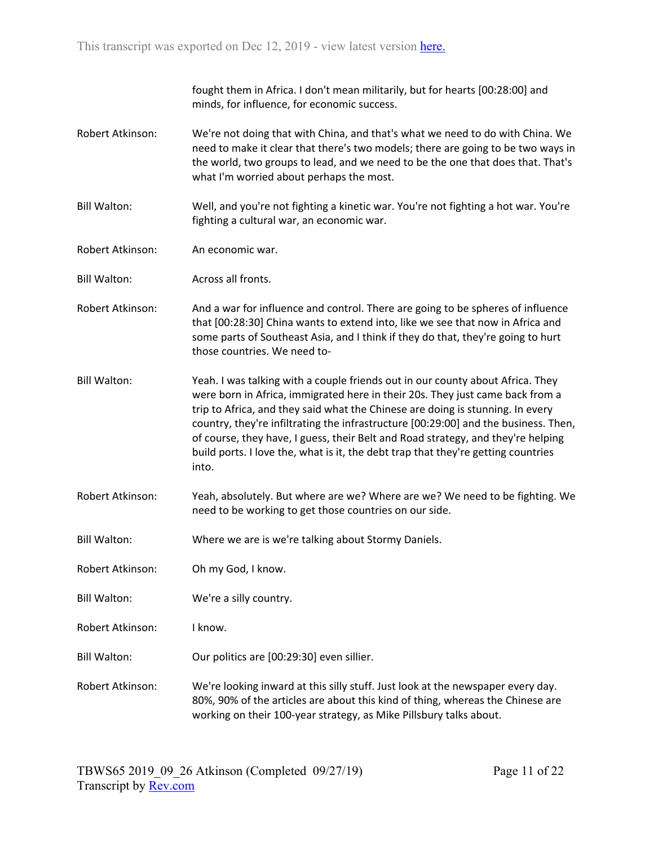fought them in Africa. I don't mean militarily, but for hearts [00:28:00] and minds, for influence, for economic success.

- Robert Atkinson: We're not doing that with China, and that's what we need to do with China. We need to make it clear that there's two models; there are going to be two ways in the world, two groups to lead, and we need to be the one that does that. That's what I'm worried about perhaps the most.
- Bill Walton: Well, and you're not fighting a kinetic war. You're not fighting a hot war. You're fighting a cultural war, an economic war.
- Robert Atkinson: An economic war.
- Bill Walton: Across all fronts.
- Robert Atkinson: And a war for influence and control. There are going to be spheres of influence that [00:28:30] China wants to extend into, like we see that now in Africa and some parts of Southeast Asia, and I think if they do that, they're going to hurt those countries. We need to-
- Bill Walton: Yeah. I was talking with a couple friends out in our county about Africa. They were born in Africa, immigrated here in their 20s. They just came back from a trip to Africa, and they said what the Chinese are doing is stunning. In every country, they're infiltrating the infrastructure [00:29:00] and the business. Then, of course, they have, I guess, their Belt and Road strategy, and they're helping build ports. I love the, what is it, the debt trap that they're getting countries into.
- Robert Atkinson: Yeah, absolutely. But where are we? Where are we? We need to be fighting. We need to be working to get those countries on our side.
- Bill Walton: Where we are is we're talking about Stormy Daniels.
- Robert Atkinson: Oh my God, I know.
- Bill Walton: We're a silly country.
- Robert Atkinson: I know.
- Bill Walton: Our politics are [00:29:30] even sillier.

Robert Atkinson: We're looking inward at this silly stuff. Just look at the newspaper every day. 80%, 90% of the articles are about this kind of thing, whereas the Chinese are working on their 100-year strategy, as Mike Pillsbury talks about.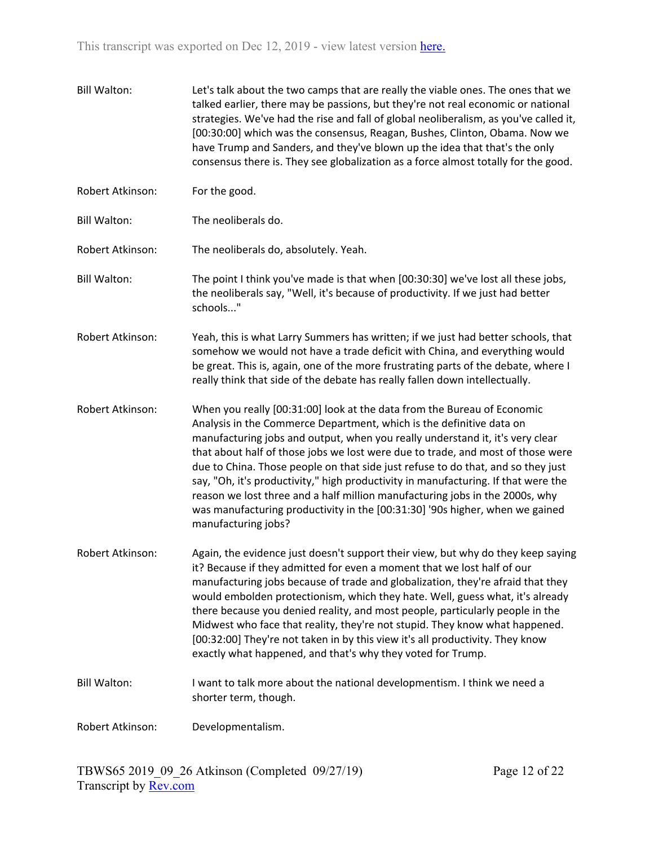Bill Walton: Let's talk about the two camps that are really the viable ones. The ones that we talked earlier, there may be passions, but they're not real economic or national strategies. We've had the rise and fall of global neoliberalism, as you've called it, [00:30:00] which was the consensus, Reagan, Bushes, Clinton, Obama. Now we have Trump and Sanders, and they've blown up the idea that that's the only consensus there is. They see globalization as a force almost totally for the good. Robert Atkinson: For the good. Bill Walton: The neoliberals do. Robert Atkinson: The neoliberals do, absolutely. Yeah. Bill Walton: The point I think you've made is that when [00:30:30] we've lost all these jobs, the neoliberals say, "Well, it's because of productivity. If we just had better schools..." Robert Atkinson: Yeah, this is what Larry Summers has written; if we just had better schools, that somehow we would not have a trade deficit with China, and everything would be great. This is, again, one of the more frustrating parts of the debate, where I really think that side of the debate has really fallen down intellectually. Robert Atkinson: When you really [00:31:00] look at the data from the Bureau of Economic Analysis in the Commerce Department, which is the definitive data on manufacturing jobs and output, when you really understand it, it's very clear that about half of those jobs we lost were due to trade, and most of those were due to China. Those people on that side just refuse to do that, and so they just say, "Oh, it's productivity," high productivity in manufacturing. If that were the reason we lost three and a half million manufacturing jobs in the 2000s, why was manufacturing productivity in the [00:31:30] '90s higher, when we gained manufacturing jobs? Robert Atkinson: Again, the evidence just doesn't support their view, but why do they keep saying it? Because if they admitted for even a moment that we lost half of our manufacturing jobs because of trade and globalization, they're afraid that they would embolden protectionism, which they hate. Well, guess what, it's already there because you denied reality, and most people, particularly people in the Midwest who face that reality, they're not stupid. They know what happened. [00:32:00] They're not taken in by this view it's all productivity. They know exactly what happened, and that's why they voted for Trump. Bill Walton: I want to talk more about the national developmentism. I think we need a shorter term, though. Robert Atkinson: Developmentalism.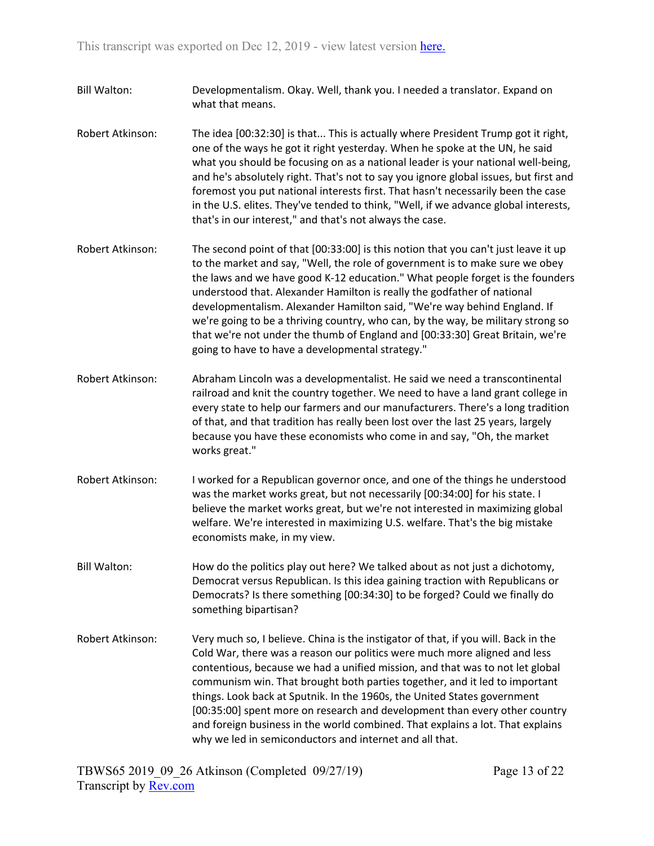- Bill Walton: Developmentalism. Okay. Well, thank you. I needed a translator. Expand on what that means.
- Robert Atkinson: The idea [00:32:30] is that... This is actually where President Trump got it right, one of the ways he got it right yesterday. When he spoke at the UN, he said what you should be focusing on as a national leader is your national well-being, and he's absolutely right. That's not to say you ignore global issues, but first and foremost you put national interests first. That hasn't necessarily been the case in the U.S. elites. They've tended to think, "Well, if we advance global interests, that's in our interest," and that's not always the case.
- Robert Atkinson: The second point of that [00:33:00] is this notion that you can't just leave it up to the market and say, "Well, the role of government is to make sure we obey the laws and we have good K-12 education." What people forget is the founders understood that. Alexander Hamilton is really the godfather of national developmentalism. Alexander Hamilton said, "We're way behind England. If we're going to be a thriving country, who can, by the way, be military strong so that we're not under the thumb of England and [00:33:30] Great Britain, we're going to have to have a developmental strategy."
- Robert Atkinson: Abraham Lincoln was a developmentalist. He said we need a transcontinental railroad and knit the country together. We need to have a land grant college in every state to help our farmers and our manufacturers. There's a long tradition of that, and that tradition has really been lost over the last 25 years, largely because you have these economists who come in and say, "Oh, the market works great."
- Robert Atkinson: I worked for a Republican governor once, and one of the things he understood was the market works great, but not necessarily [00:34:00] for his state. I believe the market works great, but we're not interested in maximizing global welfare. We're interested in maximizing U.S. welfare. That's the big mistake economists make, in my view.
- Bill Walton: How do the politics play out here? We talked about as not just a dichotomy, Democrat versus Republican. Is this idea gaining traction with Republicans or Democrats? Is there something [00:34:30] to be forged? Could we finally do something bipartisan?
- Robert Atkinson: Very much so, I believe. China is the instigator of that, if you will. Back in the Cold War, there was a reason our politics were much more aligned and less contentious, because we had a unified mission, and that was to not let global communism win. That brought both parties together, and it led to important things. Look back at Sputnik. In the 1960s, the United States government [00:35:00] spent more on research and development than every other country and foreign business in the world combined. That explains a lot. That explains why we led in semiconductors and internet and all that.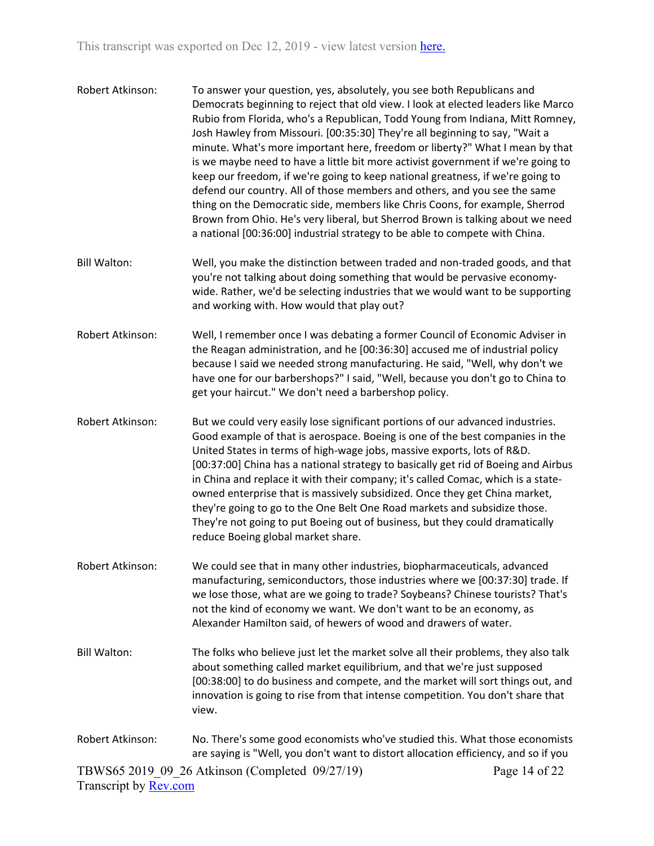- Robert Atkinson: To answer your question, yes, absolutely, you see both Republicans and Democrats beginning to reject that old view. I look at elected leaders like Marco Rubio from Florida, who's a Republican, Todd Young from Indiana, Mitt Romney, Josh Hawley from Missouri. [00:35:30] They're all beginning to say, "Wait a minute. What's more important here, freedom or liberty?" What I mean by that is we maybe need to have a little bit more activist government if we're going to keep our freedom, if we're going to keep national greatness, if we're going to defend our country. All of those members and others, and you see the same thing on the Democratic side, members like Chris Coons, for example, Sherrod Brown from Ohio. He's very liberal, but Sherrod Brown is talking about we need a national [00:36:00] industrial strategy to be able to compete with China.
- Bill Walton: Well, you make the distinction between traded and non-traded goods, and that you're not talking about doing something that would be pervasive economywide. Rather, we'd be selecting industries that we would want to be supporting and working with. How would that play out?
- Robert Atkinson: Well, I remember once I was debating a former Council of Economic Adviser in the Reagan administration, and he [00:36:30] accused me of industrial policy because I said we needed strong manufacturing. He said, "Well, why don't we have one for our barbershops?" I said, "Well, because you don't go to China to get your haircut." We don't need a barbershop policy.
- Robert Atkinson: But we could very easily lose significant portions of our advanced industries. Good example of that is aerospace. Boeing is one of the best companies in the United States in terms of high-wage jobs, massive exports, lots of R&D. [00:37:00] China has a national strategy to basically get rid of Boeing and Airbus in China and replace it with their company; it's called Comac, which is a stateowned enterprise that is massively subsidized. Once they get China market, they're going to go to the One Belt One Road markets and subsidize those. They're not going to put Boeing out of business, but they could dramatically reduce Boeing global market share.
- Robert Atkinson: We could see that in many other industries, biopharmaceuticals, advanced manufacturing, semiconductors, those industries where we [00:37:30] trade. If we lose those, what are we going to trade? Soybeans? Chinese tourists? That's not the kind of economy we want. We don't want to be an economy, as Alexander Hamilton said, of hewers of wood and drawers of water.
- Bill Walton: The folks who believe just let the market solve all their problems, they also talk about something called market equilibrium, and that we're just supposed [00:38:00] to do business and compete, and the market will sort things out, and innovation is going to rise from that intense competition. You don't share that view.
- Robert Atkinson: No. There's some good economists who've studied this. What those economists are saying is "Well, you don't want to distort allocation efficiency, and so if you

Page 14 of 22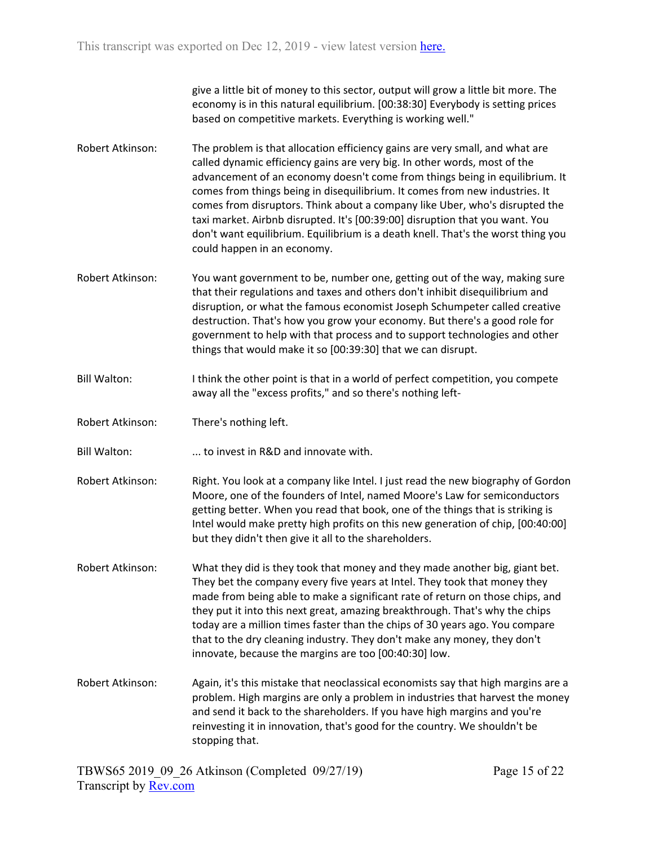give a little bit of money to this sector, output will grow a little bit more. The economy is in this natural equilibrium. [00:38:30] Everybody is setting prices based on competitive markets. Everything is working well."

- Robert Atkinson: The problem is that allocation efficiency gains are very small, and what are called dynamic efficiency gains are very big. In other words, most of the advancement of an economy doesn't come from things being in equilibrium. It comes from things being in disequilibrium. It comes from new industries. It comes from disruptors. Think about a company like Uber, who's disrupted the taxi market. Airbnb disrupted. It's [00:39:00] disruption that you want. You don't want equilibrium. Equilibrium is a death knell. That's the worst thing you could happen in an economy.
- Robert Atkinson: You want government to be, number one, getting out of the way, making sure that their regulations and taxes and others don't inhibit disequilibrium and disruption, or what the famous economist Joseph Schumpeter called creative destruction. That's how you grow your economy. But there's a good role for government to help with that process and to support technologies and other things that would make it so [00:39:30] that we can disrupt.
- Bill Walton: I think the other point is that in a world of perfect competition, you compete away all the "excess profits," and so there's nothing left-
- Robert Atkinson: There's nothing left.
- Bill Walton: ... to invest in R&D and innovate with.
- Robert Atkinson: Right. You look at a company like Intel. I just read the new biography of Gordon Moore, one of the founders of Intel, named Moore's Law for semiconductors getting better. When you read that book, one of the things that is striking is Intel would make pretty high profits on this new generation of chip, [00:40:00] but they didn't then give it all to the shareholders.
- Robert Atkinson: What they did is they took that money and they made another big, giant bet. They bet the company every five years at Intel. They took that money they made from being able to make a significant rate of return on those chips, and they put it into this next great, amazing breakthrough. That's why the chips today are a million times faster than the chips of 30 years ago. You compare that to the dry cleaning industry. They don't make any money, they don't innovate, because the margins are too [00:40:30] low.
- Robert Atkinson: Again, it's this mistake that neoclassical economists say that high margins are a problem. High margins are only a problem in industries that harvest the money and send it back to the shareholders. If you have high margins and you're reinvesting it in innovation, that's good for the country. We shouldn't be stopping that.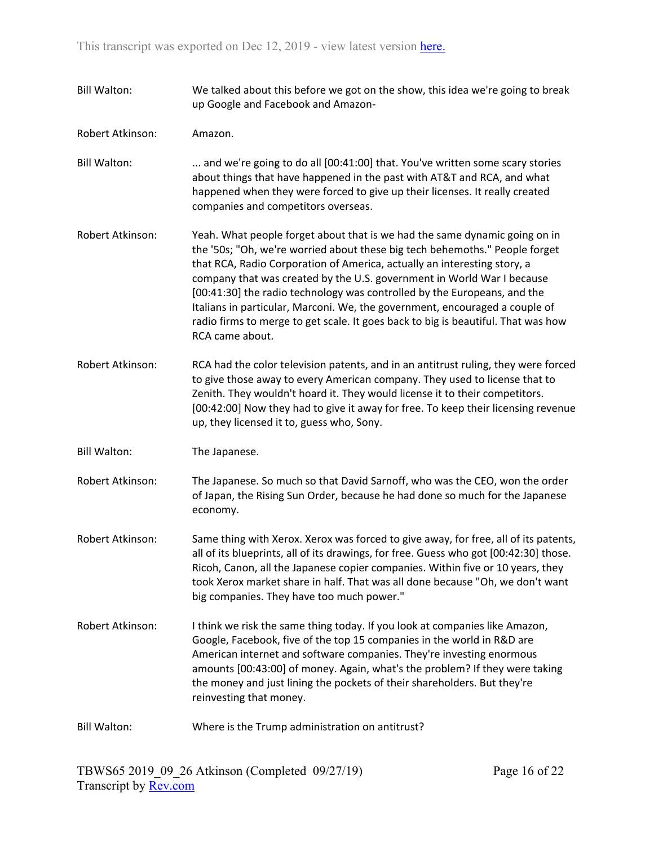Bill Walton: We talked about this before we got on the show, this idea we're going to break up Google and Facebook and Amazon-Robert Atkinson: Amazon. Bill Walton: ... and we're going to do all [00:41:00] that. You've written some scary stories about things that have happened in the past with AT&T and RCA, and what happened when they were forced to give up their licenses. It really created companies and competitors overseas. Robert Atkinson: Yeah. What people forget about that is we had the same dynamic going on in the '50s; "Oh, we're worried about these big tech behemoths." People forget that RCA, Radio Corporation of America, actually an interesting story, a company that was created by the U.S. government in World War I because [00:41:30] the radio technology was controlled by the Europeans, and the Italians in particular, Marconi. We, the government, encouraged a couple of radio firms to merge to get scale. It goes back to big is beautiful. That was how RCA came about. Robert Atkinson: RCA had the color television patents, and in an antitrust ruling, they were forced to give those away to every American company. They used to license that to Zenith. They wouldn't hoard it. They would license it to their competitors. [00:42:00] Now they had to give it away for free. To keep their licensing revenue up, they licensed it to, guess who, Sony. Bill Walton: The Japanese. Robert Atkinson: The Japanese. So much so that David Sarnoff, who was the CEO, won the order of Japan, the Rising Sun Order, because he had done so much for the Japanese economy. Robert Atkinson: Same thing with Xerox. Xerox was forced to give away, for free, all of its patents, all of its blueprints, all of its drawings, for free. Guess who got [00:42:30] those. Ricoh, Canon, all the Japanese copier companies. Within five or 10 years, they took Xerox market share in half. That was all done because "Oh, we don't want big companies. They have too much power." Robert Atkinson: I think we risk the same thing today. If you look at companies like Amazon, Google, Facebook, five of the top 15 companies in the world in R&D are American internet and software companies. They're investing enormous amounts [00:43:00] of money. Again, what's the problem? If they were taking the money and just lining the pockets of their shareholders. But they're reinvesting that money. Bill Walton: Where is the Trump administration on antitrust?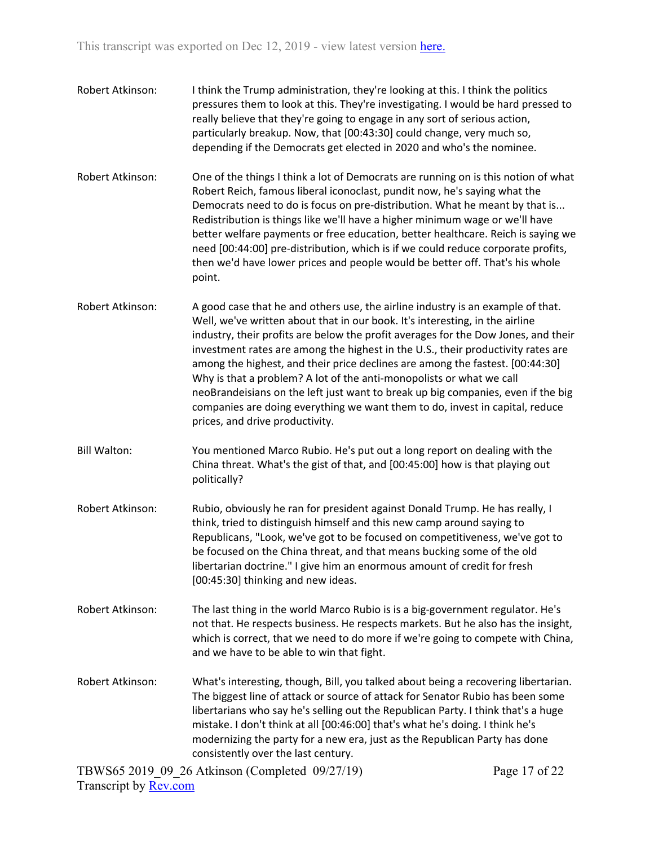- Robert Atkinson: I think the Trump administration, they're looking at this. I think the politics pressures them to look at this. They're investigating. I would be hard pressed to really believe that they're going to engage in any sort of serious action, particularly breakup. Now, that [00:43:30] could change, very much so, depending if the Democrats get elected in 2020 and who's the nominee.
- Robert Atkinson: One of the things I think a lot of Democrats are running on is this notion of what Robert Reich, famous liberal iconoclast, pundit now, he's saying what the Democrats need to do is focus on pre-distribution. What he meant by that is... Redistribution is things like we'll have a higher minimum wage or we'll have better welfare payments or free education, better healthcare. Reich is saying we need [00:44:00] pre-distribution, which is if we could reduce corporate profits, then we'd have lower prices and people would be better off. That's his whole point.
- Robert Atkinson: A good case that he and others use, the airline industry is an example of that. Well, we've written about that in our book. It's interesting, in the airline industry, their profits are below the profit averages for the Dow Jones, and their investment rates are among the highest in the U.S., their productivity rates are among the highest, and their price declines are among the fastest. [00:44:30] Why is that a problem? A lot of the anti-monopolists or what we call neoBrandeisians on the left just want to break up big companies, even if the big companies are doing everything we want them to do, invest in capital, reduce prices, and drive productivity.
- Bill Walton: You mentioned Marco Rubio. He's put out a long report on dealing with the China threat. What's the gist of that, and [00:45:00] how is that playing out politically?
- Robert Atkinson: Rubio, obviously he ran for president against Donald Trump. He has really, I think, tried to distinguish himself and this new camp around saying to Republicans, "Look, we've got to be focused on competitiveness, we've got to be focused on the China threat, and that means bucking some of the old libertarian doctrine." I give him an enormous amount of credit for fresh [00:45:30] thinking and new ideas.
- Robert Atkinson: The last thing in the world Marco Rubio is is a big-government regulator. He's not that. He respects business. He respects markets. But he also has the insight, which is correct, that we need to do more if we're going to compete with China, and we have to be able to win that fight.
- Robert Atkinson: What's interesting, though, Bill, you talked about being a recovering libertarian. The biggest line of attack or source of attack for Senator Rubio has been some libertarians who say he's selling out the Republican Party. I think that's a huge mistake. I don't think at all [00:46:00] that's what he's doing. I think he's modernizing the party for a new era, just as the Republican Party has done consistently over the last century.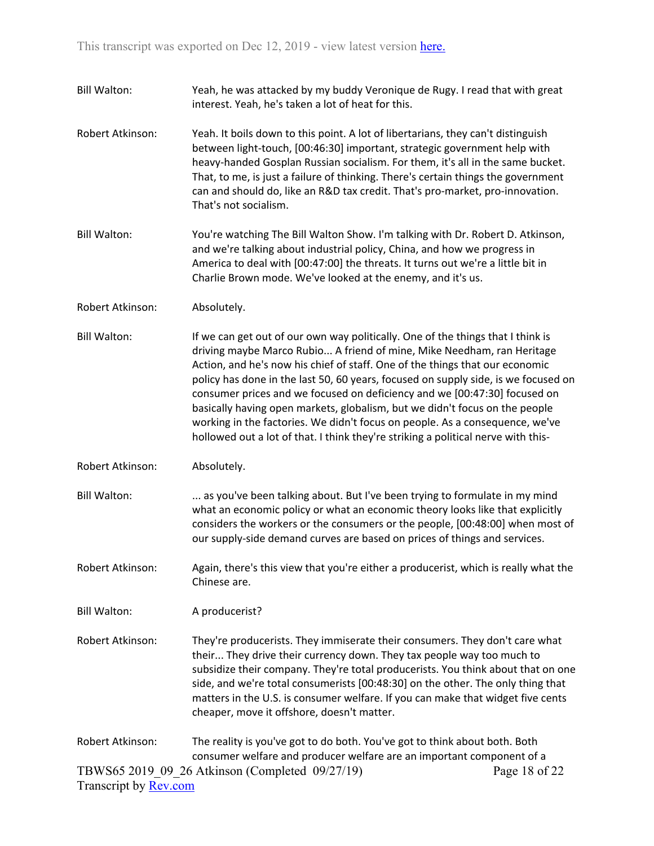- Bill Walton: Yeah, he was attacked by my buddy Veronique de Rugy. I read that with great interest. Yeah, he's taken a lot of heat for this.
- Robert Atkinson: Yeah. It boils down to this point. A lot of libertarians, they can't distinguish between light-touch, [00:46:30] important, strategic government help with heavy-handed Gosplan Russian socialism. For them, it's all in the same bucket. That, to me, is just a failure of thinking. There's certain things the government can and should do, like an R&D tax credit. That's pro-market, pro-innovation. That's not socialism.
- Bill Walton: You're watching The Bill Walton Show. I'm talking with Dr. Robert D. Atkinson, and we're talking about industrial policy, China, and how we progress in America to deal with [00:47:00] the threats. It turns out we're a little bit in Charlie Brown mode. We've looked at the enemy, and it's us.
- Robert Atkinson: Absolutely.
- Bill Walton: If we can get out of our own way politically. One of the things that I think is driving maybe Marco Rubio... A friend of mine, Mike Needham, ran Heritage Action, and he's now his chief of staff. One of the things that our economic policy has done in the last 50, 60 years, focused on supply side, is we focused on consumer prices and we focused on deficiency and we [00:47:30] focused on basically having open markets, globalism, but we didn't focus on the people working in the factories. We didn't focus on people. As a consequence, we've hollowed out a lot of that. I think they're striking a political nerve with this-
- Robert Atkinson: Absolutely.
- Bill Walton: ... as you've been talking about. But I've been trying to formulate in my mind what an economic policy or what an economic theory looks like that explicitly considers the workers or the consumers or the people, [00:48:00] when most of our supply-side demand curves are based on prices of things and services.
- Robert Atkinson: Again, there's this view that you're either a producerist, which is really what the Chinese are.

Bill Walton: A producerist?

- Robert Atkinson: They're producerists. They immiserate their consumers. They don't care what their... They drive their currency down. They tax people way too much to subsidize their company. They're total producerists. You think about that on one side, and we're total consumerists [00:48:30] on the other. The only thing that matters in the U.S. is consumer welfare. If you can make that widget five cents cheaper, move it offshore, doesn't matter.
- TBWS65 2019\_09\_26 Atkinson (Completed 09/27/19) Transcript by [Rev.com](https://www.rev.com/) Page 18 of 22 Robert Atkinson: The reality is you've got to do both. You've got to think about both. Both consumer welfare and producer welfare are an important component of a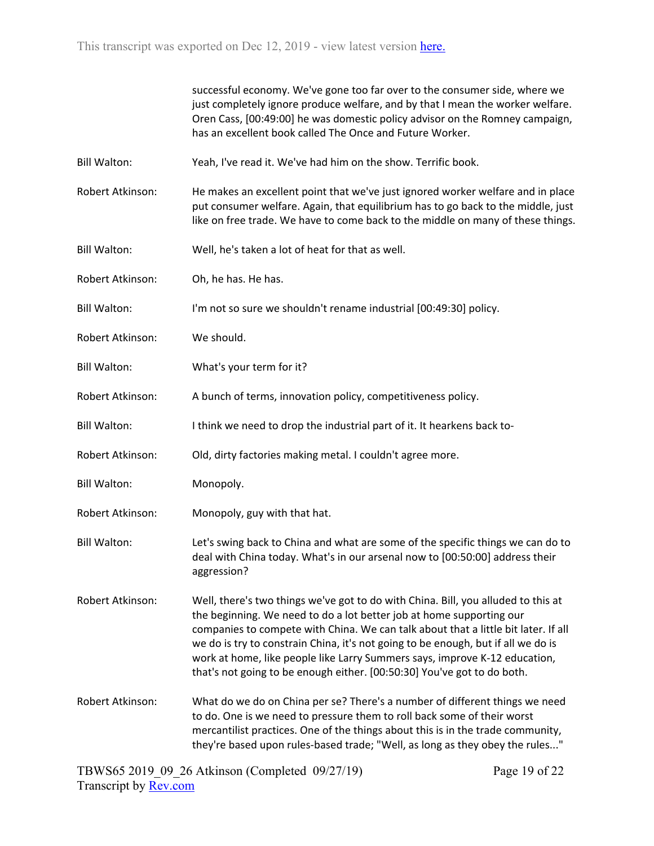|                     | successful economy. We've gone too far over to the consumer side, where we<br>just completely ignore produce welfare, and by that I mean the worker welfare.<br>Oren Cass, [00:49:00] he was domestic policy advisor on the Romney campaign,<br>has an excellent book called The Once and Future Worker.                                                                                                                                                                                      |
|---------------------|-----------------------------------------------------------------------------------------------------------------------------------------------------------------------------------------------------------------------------------------------------------------------------------------------------------------------------------------------------------------------------------------------------------------------------------------------------------------------------------------------|
| <b>Bill Walton:</b> | Yeah, I've read it. We've had him on the show. Terrific book.                                                                                                                                                                                                                                                                                                                                                                                                                                 |
| Robert Atkinson:    | He makes an excellent point that we've just ignored worker welfare and in place<br>put consumer welfare. Again, that equilibrium has to go back to the middle, just<br>like on free trade. We have to come back to the middle on many of these things.                                                                                                                                                                                                                                        |
| <b>Bill Walton:</b> | Well, he's taken a lot of heat for that as well.                                                                                                                                                                                                                                                                                                                                                                                                                                              |
| Robert Atkinson:    | Oh, he has. He has.                                                                                                                                                                                                                                                                                                                                                                                                                                                                           |
| <b>Bill Walton:</b> | I'm not so sure we shouldn't rename industrial [00:49:30] policy.                                                                                                                                                                                                                                                                                                                                                                                                                             |
| Robert Atkinson:    | We should.                                                                                                                                                                                                                                                                                                                                                                                                                                                                                    |
| <b>Bill Walton:</b> | What's your term for it?                                                                                                                                                                                                                                                                                                                                                                                                                                                                      |
| Robert Atkinson:    | A bunch of terms, innovation policy, competitiveness policy.                                                                                                                                                                                                                                                                                                                                                                                                                                  |
| <b>Bill Walton:</b> | I think we need to drop the industrial part of it. It hearkens back to-                                                                                                                                                                                                                                                                                                                                                                                                                       |
| Robert Atkinson:    | Old, dirty factories making metal. I couldn't agree more.                                                                                                                                                                                                                                                                                                                                                                                                                                     |
| <b>Bill Walton:</b> | Monopoly.                                                                                                                                                                                                                                                                                                                                                                                                                                                                                     |
| Robert Atkinson:    | Monopoly, guy with that hat.                                                                                                                                                                                                                                                                                                                                                                                                                                                                  |
| <b>Bill Walton:</b> | Let's swing back to China and what are some of the specific things we can do to<br>deal with China today. What's in our arsenal now to [00:50:00] address their<br>aggression?                                                                                                                                                                                                                                                                                                                |
| Robert Atkinson:    | Well, there's two things we've got to do with China. Bill, you alluded to this at<br>the beginning. We need to do a lot better job at home supporting our<br>companies to compete with China. We can talk about that a little bit later. If all<br>we do is try to constrain China, it's not going to be enough, but if all we do is<br>work at home, like people like Larry Summers says, improve K-12 education,<br>that's not going to be enough either. [00:50:30] You've got to do both. |
| Robert Atkinson:    | What do we do on China per se? There's a number of different things we need<br>to do. One is we need to pressure them to roll back some of their worst<br>mercantilist practices. One of the things about this is in the trade community,<br>they're based upon rules-based trade; "Well, as long as they obey the rules"                                                                                                                                                                     |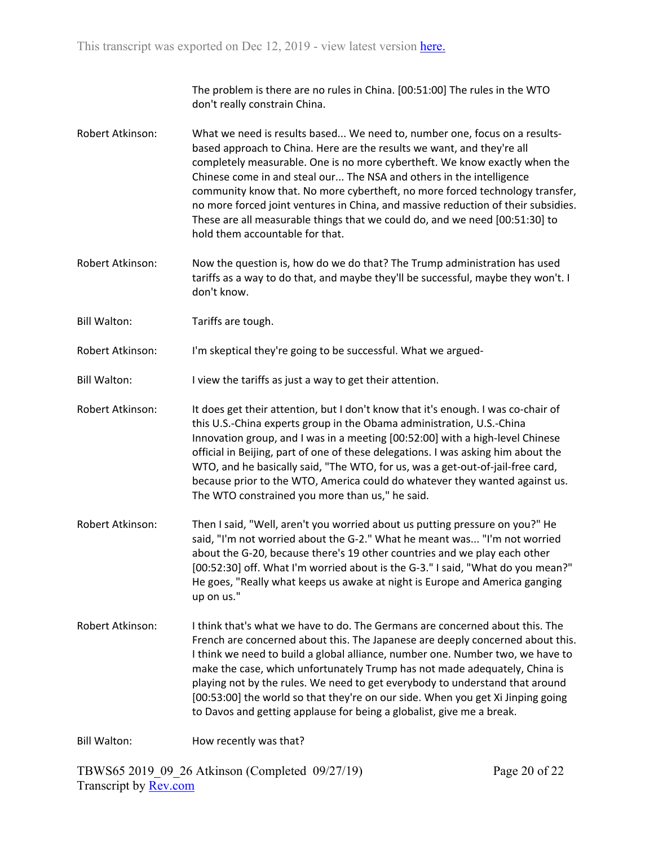The problem is there are no rules in China. [00:51:00] The rules in the WTO don't really constrain China.

- Robert Atkinson: What we need is results based... We need to, number one, focus on a resultsbased approach to China. Here are the results we want, and they're all completely measurable. One is no more cybertheft. We know exactly when the Chinese come in and steal our... The NSA and others in the intelligence community know that. No more cybertheft, no more forced technology transfer, no more forced joint ventures in China, and massive reduction of their subsidies. These are all measurable things that we could do, and we need [00:51:30] to hold them accountable for that.
- Robert Atkinson: Now the question is, how do we do that? The Trump administration has used tariffs as a way to do that, and maybe they'll be successful, maybe they won't. I don't know.
- Bill Walton: Tariffs are tough.

Robert Atkinson: I'm skeptical they're going to be successful. What we argued-

Bill Walton: I view the tariffs as just a way to get their attention.

- Robert Atkinson: It does get their attention, but I don't know that it's enough. I was co-chair of this U.S.-China experts group in the Obama administration, U.S.-China Innovation group, and I was in a meeting [00:52:00] with a high-level Chinese official in Beijing, part of one of these delegations. I was asking him about the WTO, and he basically said, "The WTO, for us, was a get-out-of-jail-free card, because prior to the WTO, America could do whatever they wanted against us. The WTO constrained you more than us," he said.
- Robert Atkinson: Then I said, "Well, aren't you worried about us putting pressure on you?" He said, "I'm not worried about the G-2." What he meant was... "I'm not worried about the G-20, because there's 19 other countries and we play each other [00:52:30] off. What I'm worried about is the G-3." I said, "What do you mean?" He goes, "Really what keeps us awake at night is Europe and America ganging up on us."
- Robert Atkinson: I think that's what we have to do. The Germans are concerned about this. The French are concerned about this. The Japanese are deeply concerned about this. I think we need to build a global alliance, number one. Number two, we have to make the case, which unfortunately Trump has not made adequately, China is playing not by the rules. We need to get everybody to understand that around [00:53:00] the world so that they're on our side. When you get Xi Jinping going to Davos and getting applause for being a globalist, give me a break.

Bill Walton: How recently was that?

TBWS65 2019\_09\_26 Atkinson (Completed 09/27/19) Transcript by [Rev.com](https://www.rev.com/)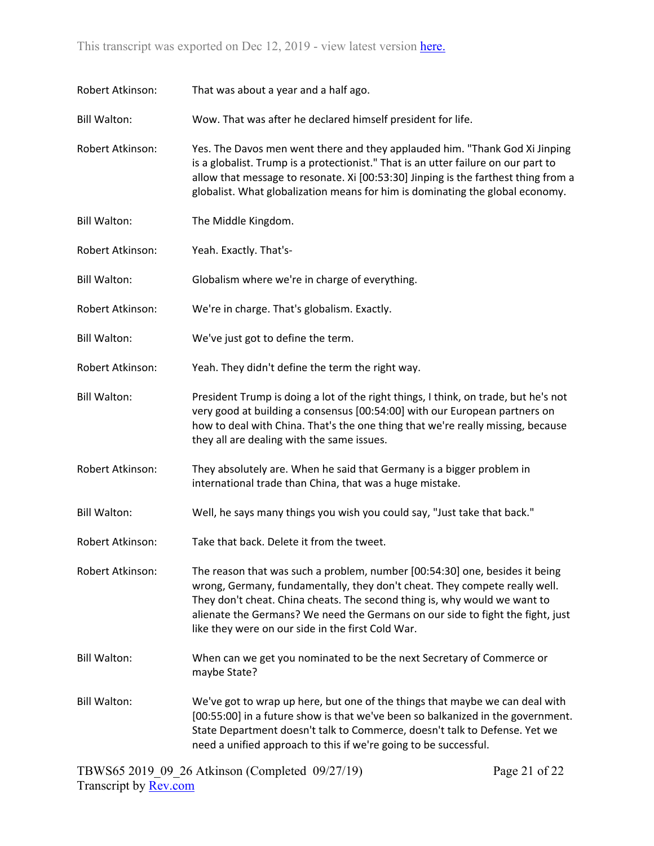| Robert Atkinson:    | That was about a year and a half ago.                                                                                                                                                                                                                                                                                                                                         |
|---------------------|-------------------------------------------------------------------------------------------------------------------------------------------------------------------------------------------------------------------------------------------------------------------------------------------------------------------------------------------------------------------------------|
| <b>Bill Walton:</b> | Wow. That was after he declared himself president for life.                                                                                                                                                                                                                                                                                                                   |
| Robert Atkinson:    | Yes. The Davos men went there and they applauded him. "Thank God Xi Jinping<br>is a globalist. Trump is a protectionist." That is an utter failure on our part to<br>allow that message to resonate. Xi [00:53:30] Jinping is the farthest thing from a<br>globalist. What globalization means for him is dominating the global economy.                                      |
| <b>Bill Walton:</b> | The Middle Kingdom.                                                                                                                                                                                                                                                                                                                                                           |
| Robert Atkinson:    | Yeah. Exactly. That's-                                                                                                                                                                                                                                                                                                                                                        |
| <b>Bill Walton:</b> | Globalism where we're in charge of everything.                                                                                                                                                                                                                                                                                                                                |
| Robert Atkinson:    | We're in charge. That's globalism. Exactly.                                                                                                                                                                                                                                                                                                                                   |
| <b>Bill Walton:</b> | We've just got to define the term.                                                                                                                                                                                                                                                                                                                                            |
| Robert Atkinson:    | Yeah. They didn't define the term the right way.                                                                                                                                                                                                                                                                                                                              |
| <b>Bill Walton:</b> | President Trump is doing a lot of the right things, I think, on trade, but he's not<br>very good at building a consensus [00:54:00] with our European partners on<br>how to deal with China. That's the one thing that we're really missing, because<br>they all are dealing with the same issues.                                                                            |
| Robert Atkinson:    | They absolutely are. When he said that Germany is a bigger problem in<br>international trade than China, that was a huge mistake.                                                                                                                                                                                                                                             |
| <b>Bill Walton:</b> | Well, he says many things you wish you could say, "Just take that back."                                                                                                                                                                                                                                                                                                      |
| Robert Atkinson:    | Take that back. Delete it from the tweet.                                                                                                                                                                                                                                                                                                                                     |
| Robert Atkinson:    | The reason that was such a problem, number [00:54:30] one, besides it being<br>wrong, Germany, fundamentally, they don't cheat. They compete really well.<br>They don't cheat. China cheats. The second thing is, why would we want to<br>alienate the Germans? We need the Germans on our side to fight the fight, just<br>like they were on our side in the first Cold War. |
| <b>Bill Walton:</b> | When can we get you nominated to be the next Secretary of Commerce or<br>maybe State?                                                                                                                                                                                                                                                                                         |
| <b>Bill Walton:</b> | We've got to wrap up here, but one of the things that maybe we can deal with<br>[00:55:00] in a future show is that we've been so balkanized in the government.<br>State Department doesn't talk to Commerce, doesn't talk to Defense. Yet we<br>need a unified approach to this if we're going to be successful.                                                             |